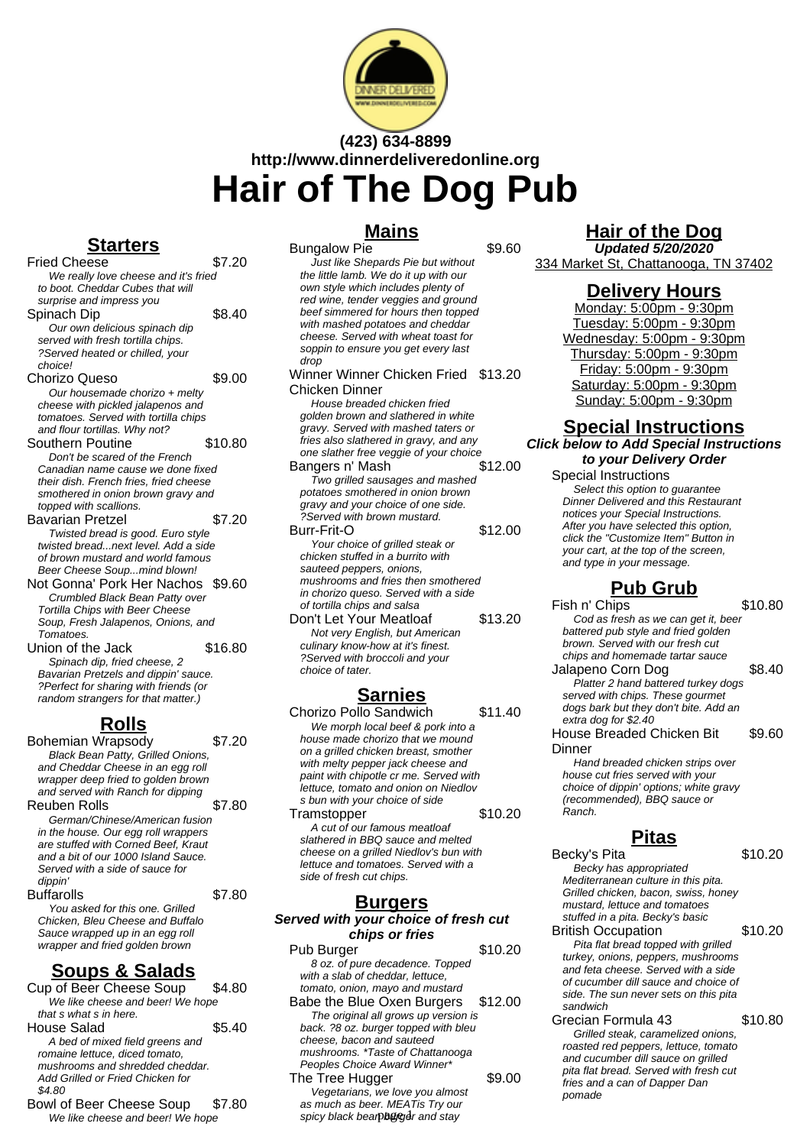

# **(423) 634-8899 http://www.dinnerdeliveredonline.org Hair of The Dog Pub**

### **Starters**

Fried Cheese \$7.20 We really love cheese and it's fried to boot. Cheddar Cubes that will surprise and impress you Spinach Dip  $$8.40$ Our own delicious spinach dip served with fresh tortilla chips. ?Served heated or chilled, your choice! Chorizo Queso \$9.00 Our housemade chorizo + melty cheese with pickled jalapenos and tomatoes. Served with tortilla chips and flour tortillas. Why not? Southern Poutine \$10.80 Don't be scared of the French Canadian name cause we done fixed their dish. French fries, fried cheese smothered in onion brown gravy and topped with scallions. Bavarian Pretzel \$7.20 Twisted bread is good. Euro style twisted bread...next level. Add a side of brown mustard and world famous Beer Cheese Soup...mind blown! Not Gonna' Pork Her Nachos \$9.60 Crumbled Black Bean Patty over Tortilla Chips with Beer Cheese Soup, Fresh Jalapenos, Onions, and

Tomatoes. Union of the Jack \$16.80 Spinach dip, fried cheese, 2 Bavarian Pretzels and dippin' sauce. ?Perfect for sharing with friends (or random strangers for that matter.)

# **Rolls**

Bohemian Wrapsody \$7.20 Black Bean Patty, Grilled Onions, and Cheddar Cheese in an egg roll wrapper deep fried to golden brown and served with Ranch for dipping Reuben Rolls **\$7.80** German/Chinese/American fusion in the house. Our egg roll wrappers are stuffed with Corned Beef, Kraut and a bit of our 1000 Island Sauce. Served with a side of sauce for dippin' Buffarolls \$7.80 You asked for this one. Grilled

Chicken, Bleu Cheese and Buffalo Sauce wrapped up in an egg roll wrapper and fried golden brown

# **Soups & Salads**

Cup of Beer Cheese Soup \$4.80 We like cheese and beer! We hope that s what s in here. House Salad \$5.40 A bed of mixed field greens and romaine lettuce, diced tomato, mushrooms and shredded cheddar. Add Grilled or Fried Chicken for \$4.80 Bowl of Beer Cheese Soup \$7.80

We like cheese and beer! We hope

### **Mains**

Bungalow Pie **\$9.60** Just like Shepards Pie but without the little lamb. We do it up with our own style which includes plenty of red wine, tender veggies and ground beef simmered for hours then topped with mashed potatoes and cheddar cheese. Served with wheat toast for soppin to ensure you get every last dron Winner Winner Chicken Fried \$13.20 Chicken Dinner House breaded chicken fried golden brown and slathered in white gravy. Served with mashed taters or fries also slathered in gravy, and any one slather free veggie of your choice Bangers n' Mash \$12.00 Two grilled sausages and mashed potatoes smothered in onion brown gravy and your choice of one side. ?Served with brown mustard. **Burr-Frit-O** \$12.00 Your choice of grilled steak or chicken stuffed in a burrito with sauteed peppers, onions, mushrooms and fries then smothered in chorizo queso. Served with a side of tortilla chips and salsa Don't Let Your Meatloaf \$13.20 Not very English, but American culinary know-how at it's finest. ?Served with broccoli and your

# **Sarnies**

choice of tater.

- Chorizo Pollo Sandwich \$11.40 We morph local beef & pork into a house made chorizo that we mound on a grilled chicken breast, smother with melty pepper jack cheese and paint with chipotle cr me. Served with lettuce, tomato and onion on Niedlov s bun with your choice of side Tramstopper \$10.20 A cut of our famous meatloaf
- slathered in BBQ sauce and melted cheese on a grilled Niedlov's bun with lettuce and tomatoes. Served with a side of fresh cut chips.

### **Burgers**

#### **Served with your choice of fresh cut chips or fries**

Pub Burger \$10.20 8 oz. of pure decadence. Topped with a slab of cheddar, lettuce, tomato, onion, mayo and mustard Babe the Blue Oxen Burgers \$12.00 The original all grows up version is back. ?8 oz. burger topped with bleu cheese, bacon and sauteed mushrooms. \*Taste of Chattanooga Peoples Choice Award Winner\* The Tree Hugger \$9.00 Vegetarians, we love you almost as much as beer. MEATis Try our

spicy black bearpburger and stay

# **Hair of the Dog**

**Updated 5/20/2020** 334 Market St, Chattanooga, TN 37402

### **Delivery Hours**

Monday: 5:00pm - 9:30pm Tuesday: 5:00pm - 9:30pm Wednesday: 5:00pm - 9:30pm Thursday: 5:00pm - 9:30pm Friday: 5:00pm - 9:30pm Saturday: 5:00pm - 9:30pm Sunday: 5:00pm - 9:30pm

### **Special Instructions Click below to Add Special Instructions**

**to your Delivery Order**

Special Instructions Select this option to quarantee Dinner Delivered and this Restaurant notices your Special Instructions. After you have selected this option, click the "Customize Item" Button in your cart, at the top of the screen, and type in your message.

# **Pub Grub**

Fish n' Chips  $$10.80$ Cod as fresh as we can get it, beer battered pub style and fried golden brown. Served with our fresh cut chips and homemade tartar sauce Jalapeno Corn Dog \$8.40 Platter 2 hand battered turkey dogs served with chips. These gourmet dogs bark but they don't bite. Add an extra dog for \$2.40 House Breaded Chicken Bit \$9.60

**Dinner** Hand breaded chicken strips over house cut fries served with your choice of dippin' options; white gravy (recommended), BBQ sauce or Ranch.

### **Pitas**

Becky's Pita \$10.20 Becky has appropriated Mediterranean culture in this pita. Grilled chicken, bacon, swiss, honey mustard, lettuce and tomatoes

- stuffed in a pita. Becky's basic British Occupation \$10.20 Pita flat bread topped with grilled turkey, onions, peppers, mushrooms and feta cheese. Served with a side of cucumber dill sauce and choice of side. The sun never sets on this pita sandwich
- Grecian Formula 43 \$10.80 Grilled steak, caramelized onions, roasted red peppers, lettuce, tomato and cucumber dill sauce on grilled pita flat bread. Served with fresh cut fries and a can of Dapper Dan pomade